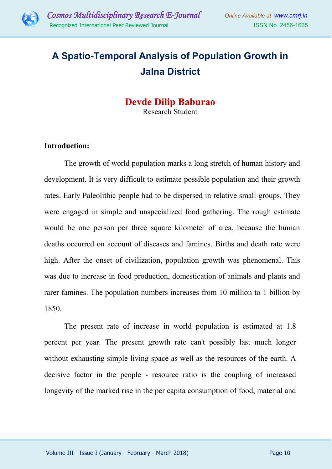

# **A Spatio-Temporal Analysis of Population Growth in Jalna District**

## **Devde Dilip Baburao**  Research Student

#### **Introduction:**

The growth of world population marks a long stretch of human history and development. It is very difficult to estimate possible population and their growth rates. Early Paleolithic people had to be dispersed in relative small groups. They were engaged in simple and unspecialized food gathering. The rough estimate would be one person per three square kilometer of area, because the human deaths occurred on account of diseases and famines. Births and death rate were high. After the onset of civilization, population growth was phenomenal. This was due to increase in food production, domestication of animals and plants and rarer famines. The population numbers increases from 10 million to 1 billion by 1850.

The present rate of increase in world population is estimated at 1.8 percent per year. The present growth rate can't possibly last much longer without exhausting simple living space as well as the resources of the earth. A decisive factor in the people - resource ratio is the coupling of increased longevity of the marked rise in the per capita consumption of food, material and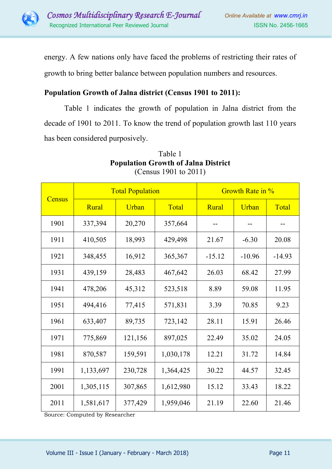

energy. A few nations only have faced the problems of restricting their rates of

growth to bring better balance between population numbers and resources.

## **Population Growth of Jalna district (Census 1901 to 2011):**

Table 1 indicates the growth of population in Jalna district from the decade of 1901 to 2011. To know the trend of population growth last 110 years has been considered purposively.

| <b>Census</b> | <b>Total Population</b> |         |           | Growth Rate in % |          |          |
|---------------|-------------------------|---------|-----------|------------------|----------|----------|
|               | Rural                   | Urban   | Total     | Rural            | Urban    | Total    |
| 1901          | 337,394                 | 20,270  | 357,664   |                  |          |          |
| 1911          | 410,505                 | 18,993  | 429,498   | 21.67            | $-6.30$  | 20.08    |
| 1921          | 348,455                 | 16,912  | 365,367   | $-15.12$         | $-10.96$ | $-14.93$ |
| 1931          | 439,159                 | 28,483  | 467,642   | 26.03            | 68.42    | 27.99    |
| 1941          | 478,206                 | 45,312  | 523,518   | 8.89             | 59.08    | 11.95    |
| 1951          | 494,416                 | 77,415  | 571,831   | 3.39             | 70.85    | 9.23     |
| 1961          | 633,407                 | 89,735  | 723,142   | 28.11            | 15.91    | 26.46    |
| 1971          | 775,869                 | 121,156 | 897,025   | 22.49            | 35.02    | 24.05    |
| 1981          | 870,587                 | 159,591 | 1,030,178 | 12.21            | 31.72    | 14.84    |
| 1991          | 1,133,697               | 230,728 | 1,364,425 | 30.22            | 44.57    | 32.45    |
| 2001          | 1,305,115               | 307,865 | 1,612,980 | 15.12            | 33.43    | 18.22    |
| 2011          | 1,581,617               | 377,429 | 1,959,046 | 21.19            | 22.60    | 21.46    |

## Table 1 **Population Growth of Jalna District** (Census 1901 to 2011)

Source: Computed by Researcher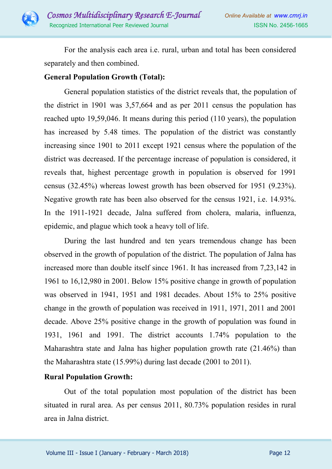

For the analysis each area i.e. rural, urban and total has been considered separately and then combined.

#### **General Population Growth (Total):**

General population statistics of the district reveals that, the population of the district in 1901 was 3,57,664 and as per 2011 census the population has reached upto 19,59,046. It means during this period (110 years), the population has increased by 5.48 times. The population of the district was constantly increasing since 1901 to 2011 except 1921 census where the population of the district was decreased. If the percentage increase of population is considered, it reveals that, highest percentage growth in population is observed for 1991 census (32.45%) whereas lowest growth has been observed for 1951 (9.23%). Negative growth rate has been also observed for the census 1921, i.e. 14.93%. In the 1911-1921 decade, Jalna suffered from cholera, malaria, influenza, epidemic, and plague which took a heavy toll of life.

During the last hundred and ten years tremendous change has been observed in the growth of population of the district. The population of Jalna has increased more than double itself since 1961. It has increased from 7,23,142 in 1961 to 16,12,980 in 2001. Below 15% positive change in growth of population was observed in 1941, 1951 and 1981 decades. About 15% to 25% positive change in the growth of population was received in 1911, 1971, 2011 and 2001 decade. Above 25% positive change in the growth of population was found in 1931, 1961 and 1991. The district accounts 1.74% population to the Maharashtra state and Jalna has higher population growth rate (21.46%) than the Maharashtra state (15.99%) during last decade (2001 to 2011).

#### **Rural Population Growth:**

Out of the total population most population of the district has been situated in rural area. As per census 2011, 80.73% population resides in rural area in Jalna district.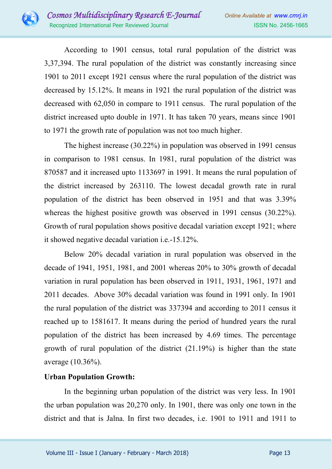

According to 1901 census, total rural population of the district was 3,37,394. The rural population of the district was constantly increasing since 1901 to 2011 except 1921 census where the rural population of the district was decreased by 15.12%. It means in 1921 the rural population of the district was decreased with 62,050 in compare to 1911 census. The rural population of the district increased upto double in 1971. It has taken 70 years, means since 1901 to 1971 the growth rate of population was not too much higher.

The highest increase (30.22%) in population was observed in 1991 census in comparison to 1981 census. In 1981, rural population of the district was 870587 and it increased upto 1133697 in 1991. It means the rural population of the district increased by 263110. The lowest decadal growth rate in rural population of the district has been observed in 1951 and that was 3.39% whereas the highest positive growth was observed in 1991 census (30.22%). Growth of rural population shows positive decadal variation except 1921; where it showed negative decadal variation i.e.-15.12%.

Below 20% decadal variation in rural population was observed in the decade of 1941, 1951, 1981, and 2001 whereas 20% to 30% growth of decadal variation in rural population has been observed in 1911, 1931, 1961, 1971 and 2011 decades. Above 30% decadal variation was found in 1991 only. In 1901 the rural population of the district was 337394 and according to 2011 census it reached up to 1581617. It means during the period of hundred years the rural population of the district has been increased by 4.69 times. The percentage growth of rural population of the district (21.19%) is higher than the state average (10.36%).

## **Urban Population Growth:**

In the beginning urban population of the district was very less. In 1901 the urban population was 20,270 only. In 1901, there was only one town in the district and that is Jalna. In first two decades, i.e. 1901 to 1911 and 1911 to